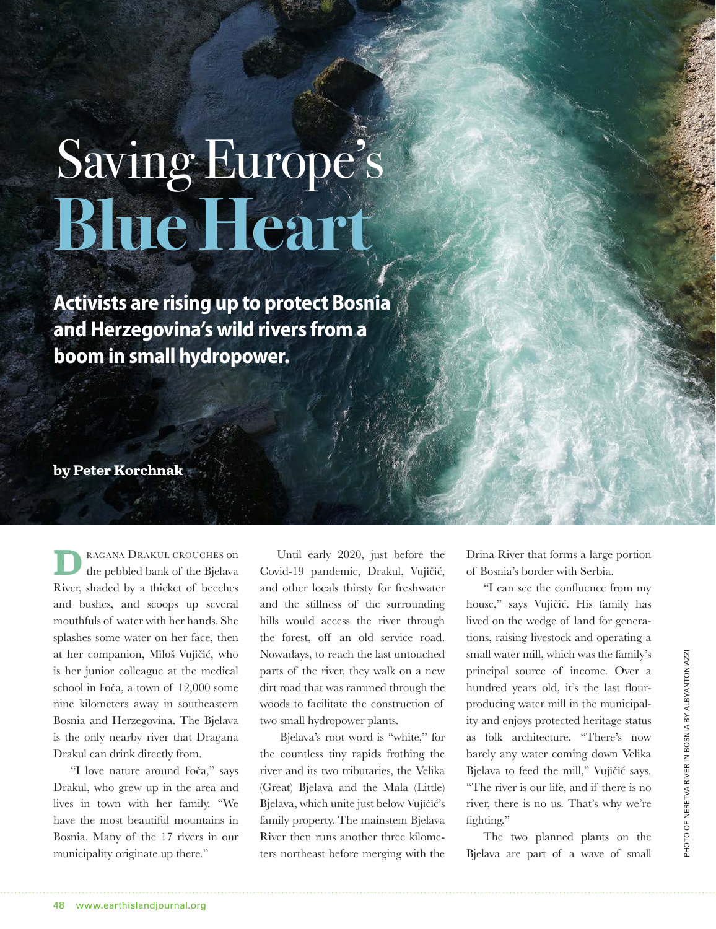## **Blue Heart** Saving Europe's

Activists are rising up to protect Bosnia and Herzegovina's wild rivers from a boom in small hydropower.

**by Peter Korchnak**

**D**RAGANA DRAKUL CROUCHES ON the pebbled bank of the Bjelava River, shaded by a thicket of beeches and bushes, and scoops up several mouthfuls of water with her hands. She splashes some water on her face, then at her companion, Miloš Vujičić, who is her junior colleague at the medical school in Foča, a town of 12,000 some nine kilometers away in southeastern Bosnia and Herzegovina. The Bjelava is the only nearby river that Dragana Drakul can drink directly from.

"I love nature around Foča," says Drakul, who grew up in the area and lives in town with her family. "We have the most beautiful mountains in Bosnia. Many of the 17 rivers in our municipality originate up there."

Until early 2020, just before the Covid-19 pandemic, Drakul, Vujičić, and other locals thirsty for freshwater and the stillness of the surrounding hills would access the river through the forest, off an old service road. Nowadays, to reach the last untouched parts of the river, they walk on a new dirt road that was rammed through the woods to facilitate the construction of two small hydropower plants.

Bjelava's root word is "white," for the countless tiny rapids frothing the river and its two tributaries, the Velika (Great) Bjelava and the Mala (Little) Bjelava, which unite just below Vujičić's family property. The mainstem Bjelava River then runs another three kilometers northeast before merging with the

Drina River that forms a large portion of Bosnia's border with Serbia.

"I can see the confluence from my house," says Vujičić. His family has lived on the wedge of land for generations, raising livestock and operating a small water mill, which was the family's principal source of income. Over a hundred years old, it's the last flourproducing water mill in the municipality and enjoys protected heritage status as folk architecture. "There's now barely any water coming down Velika Bjelava to feed the mill," Vujičić says. "The river is our life, and if there is no river, there is no us. That's why we're fighting."

The two planned plants on the Bjelava are part of a wave of small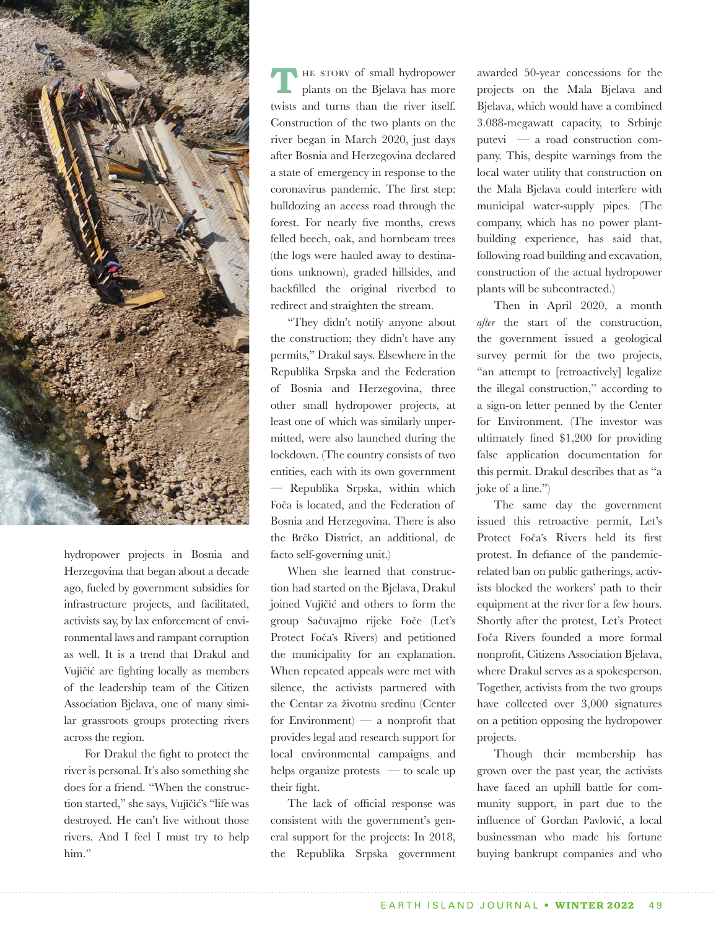

hydropower projects in Bosnia and Herzegovina that began about a decade ago, fueled by government subsidies for infrastructure projects, and facilitated, activists say, by lax enforcement of environmental laws and rampant corruption as well. It is a trend that Drakul and Vujičić are fighting locally as members of the leadership team of the Citizen Association Bjelava, one of many similar grassroots groups protecting rivers across the region.

 For Drakul the fight to protect the river is personal. It's also something she does for a friend. "When the construction started," she says, Vujičić's "life was destroyed. He can't live without those rivers. And I feel I must try to help him."

THE STORY OF Small hydropower plants on the Bjelava has more twists and turns than the river itself. Construction of the two plants on the river began in March 2020, just days after Bosnia and Herzegovina declared a state of emergency in response to the coronavirus pandemic. The first step: bulldozing an access road through the forest. For nearly five months, crews felled beech, oak, and hornbeam trees (the logs were hauled away to destinations unknown), graded hillsides, and backfilled the original riverbed to redirect and straighten the stream.

"They didn't notify anyone about the construction; they didn't have any permits," Drakul says. Elsewhere in the Republika Srpska and the Federation of Bosnia and Herzegovina, three other small hydropower projects, at least one of which was similarly unpermitted, were also launched during the lockdown. (The country consists of two entities, each with its own government — Republika Srpska, within which Foča is located, and the Federation of Bosnia and Herzegovina. There is also the Brčko District, an additional, de facto self-governing unit.)

When she learned that construction had started on the Bjelava, Drakul joined Vujičić and others to form the group Sačuvajmo rijeke Foče (Let's Protect Foča's Rivers) and petitioned the municipality for an explanation. When repeated appeals were met with silence, the activists partnered with the Centar za životnu sredinu (Center for Environment) — a nonprofit that provides legal and research support for local environmental campaigns and helps organize protests — to scale up their fight.

The lack of official response was consistent with the government's general support for the projects: In 2018, the Republika Srpska government

awarded 50-year concessions for the projects on the Mala Bjelava and Bjelava, which would have a combined 3.088-megawatt capacity, to Srbinje putevi — a road construction company. This, despite warnings from the local water utility that construction on the Mala Bjelava could interfere with municipal water-supply pipes. (The company, which has no power plantbuilding experience, has said that, following road building and excavation, construction of the actual hydropower plants will be subcontracted.)

Then in April 2020, a month *after* the start of the construction, the government issued a geological survey permit for the two projects, "an attempt to [retroactively] legalize the illegal construction," according to a sign-on letter penned by the Center for Environment. (The investor was ultimately fined \$1,200 for providing false application documentation for this permit. Drakul describes that as "a joke of a fine.")

The same day the government issued this retroactive permit, Let's Protect Foča's Rivers held its first protest. In defiance of the pandemicrelated ban on public gatherings, activists blocked the workers' path to their equipment at the river for a few hours. Shortly after the protest, Let's Protect Foča Rivers founded a more formal nonprofit, Citizens Association Bjelava, where Drakul serves as a spokesperson. Together, activists from the two groups have collected over 3,000 signatures on a petition opposing the hydropower projects.

Though their membership has grown over the past year, the activists have faced an uphill battle for community support, in part due to the influence of Gordan Pavlović, a local businessman who made his fortune buying bankrupt companies and who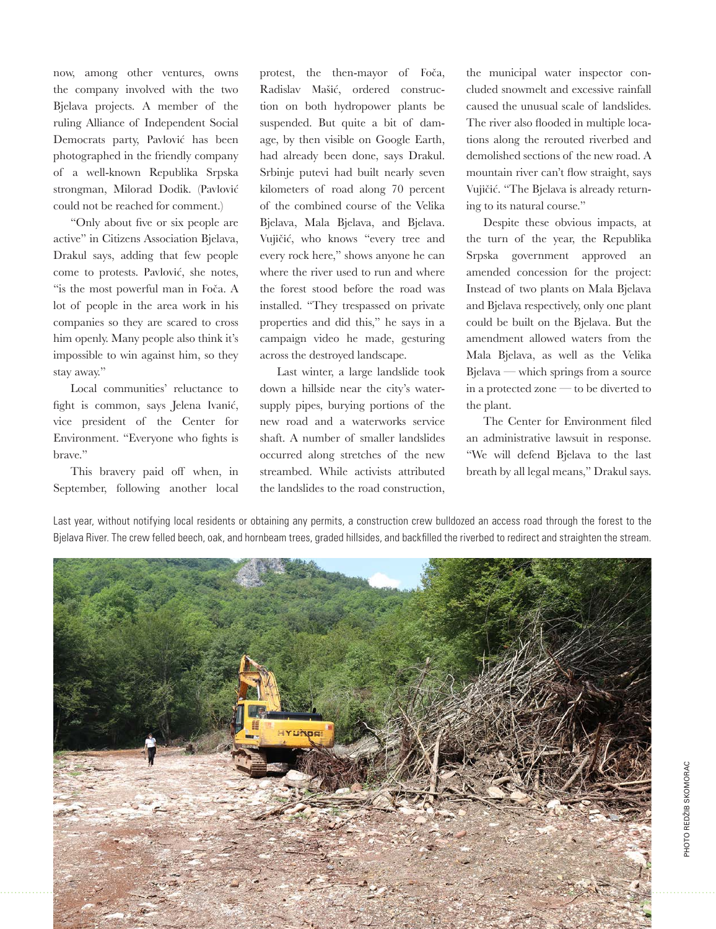now, among other ventures, owns the company involved with the two Bjelava projects. A member of the ruling Alliance of Independent Social Democrats party, Pavlović has been photographed in the friendly company of a well-known Republika Srpska strongman, Milorad Dodik. (Pavlović could not be reached for comment.)

"Only about five or six people are active" in Citizens Association Bjelava, Drakul says, adding that few people come to protests. Pavlović, she notes, "is the most powerful man in Foča. A lot of people in the area work in his companies so they are scared to cross him openly. Many people also think it's impossible to win against him, so they stay away."

Local communities' reluctance to fight is common, says Jelena Ivanić, vice president of the Center for Environment. "Everyone who fights is brave."

This bravery paid off when, in September, following another local

protest, the then-mayor of Foča, Radislav Mašić, ordered construction on both hydropower plants be suspended. But quite a bit of damage, by then visible on Google Earth, had already been done, says Drakul. Srbinje putevi had built nearly seven kilometers of road along 70 percent of the combined course of the Velika Bjelava, Mala Bjelava, and Bjelava. Vujičić, who knows "every tree and every rock here," shows anyone he can where the river used to run and where the forest stood before the road was installed. "They trespassed on private properties and did this," he says in a campaign video he made, gesturing across the destroyed landscape.

Last winter, a large landslide took down a hillside near the city's watersupply pipes, burying portions of the new road and a waterworks service shaft. A number of smaller landslides occurred along stretches of the new streambed. While activists attributed the landslides to the road construction,

the municipal water inspector concluded snowmelt and excessive rainfall caused the unusual scale of landslides. The river also flooded in multiple locations along the rerouted riverbed and demolished sections of the new road. A mountain river can't flow straight, says Vujičić. "The Bjelava is already returning to its natural course."

Despite these obvious impacts, at the turn of the year, the Republika Srpska government approved an amended concession for the project: Instead of two plants on Mala Bjelava and Bjelava respectively, only one plant could be built on the Bjelava. But the amendment allowed waters from the Mala Bjelava, as well as the Velika Bjelava — which springs from a source in a protected zone — to be diverted to the plant.

The Center for Environment filed an administrative lawsuit in response. "We will defend Bjelava to the last breath by all legal means," Drakul says.



Last year, without notifying local residents or obtaining any permits, a construction crew bulldozed an access road through the forest to the Bjelava River. The crew felled beech, oak, and hornbeam trees, graded hillsides, and backfilled the riverbed to redirect and straighten the stream.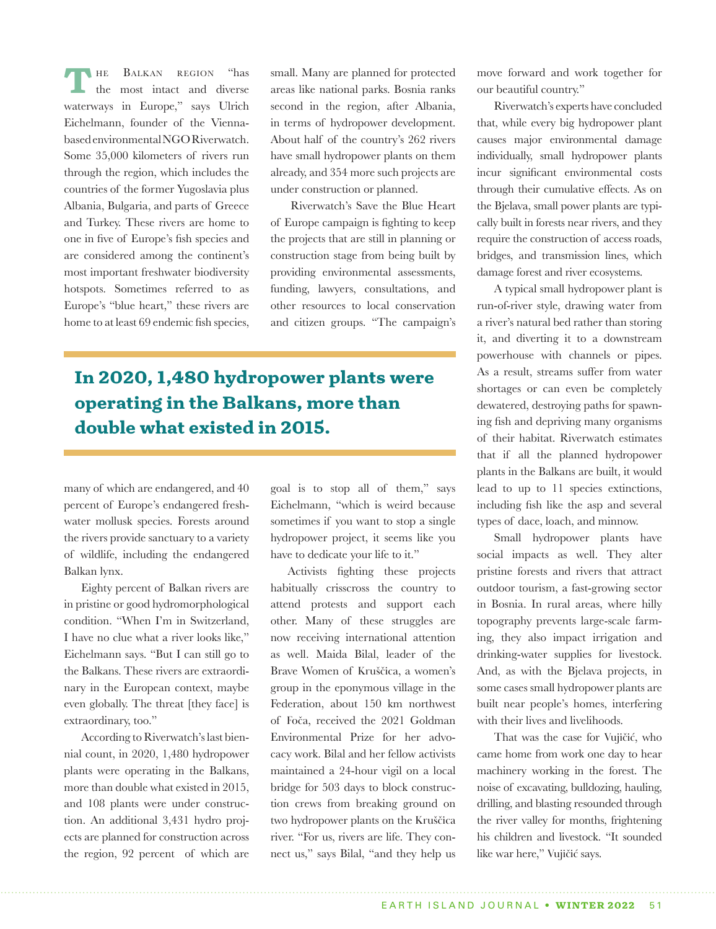THE BALKAN REGION "has the most intact and diverse waterways in Europe," says Ulrich Eichelmann, founder of the Viennabased environmental NGO Riverwatch. Some 35,000 kilometers of rivers run through the region, which includes the countries of the former Yugoslavia plus Albania, Bulgaria, and parts of Greece and Turkey. These rivers are home to one in five of Europe's fish species and are considered among the continent's most important freshwater biodiversity hotspots. Sometimes referred to as Europe's "blue heart," these rivers are home to at least 69 endemic fish species,

small. Many are planned for protected areas like national parks. Bosnia ranks second in the region, after Albania, in terms of hydropower development. About half of the country's 262 rivers have small hydropower plants on them already, and 354 more such projects are under construction or planned.

Riverwatch's Save the Blue Heart of Europe campaign is fighting to keep the projects that are still in planning or construction stage from being built by providing environmental assessments, funding, lawyers, consultations, and other resources to local conservation and citizen groups. "The campaign's

## **In 2020, 1,480 hydropower plants were operating in the Balkans, more than double what existed in 2015.**

many of which are endangered, and 40 percent of Europe's endangered freshwater mollusk species. Forests around the rivers provide sanctuary to a variety of wildlife, including the endangered Balkan lynx.

Eighty percent of Balkan rivers are in pristine or good hydromorphological condition. "When I'm in Switzerland, I have no clue what a river looks like," Eichelmann says. "But I can still go to the Balkans. These rivers are extraordinary in the European context, maybe even globally. The threat [they face] is extraordinary, too."

According to Riverwatch's last biennial count, in 2020, 1,480 hydropower plants were operating in the Balkans, more than double what existed in 2015, and 108 plants were under construction. An additional 3,431 hydro projects are planned for construction across the region, 92 percent of which are goal is to stop all of them," says Eichelmann, "which is weird because sometimes if you want to stop a single hydropower project, it seems like you have to dedicate your life to it."

Activists fighting these projects habitually crisscross the country to attend protests and support each other. Many of these struggles are now receiving international attention as well. Maida Bilal, leader of the Brave Women of Kruščica, a women's group in the eponymous village in the Federation, about 150 km northwest of Foča, received the 2021 Goldman Environmental Prize for her advocacy work. Bilal and her fellow activists maintained a 24-hour vigil on a local bridge for 503 days to block construction crews from breaking ground on two hydropower plants on the Kruščica river. "For us, rivers are life. They connect us," says Bilal, "and they help us

move forward and work together for our beautiful country."

Riverwatch's experts have concluded that, while every big hydropower plant causes major environmental damage individually, small hydropower plants incur significant environmental costs through their cumulative effects. As on the Bjelava, small power plants are typically built in forests near rivers, and they require the construction of access roads, bridges, and transmission lines, which damage forest and river ecosystems.

A typical small hydropower plant is run-of-river style, drawing water from a river's natural bed rather than storing it, and diverting it to a downstream powerhouse with channels or pipes. As a result, streams suffer from water shortages or can even be completely dewatered, destroying paths for spawning fish and depriving many organisms of their habitat. Riverwatch estimates that if all the planned hydropower plants in the Balkans are built, it would lead to up to 11 species extinctions, including fish like the asp and several types of dace, loach, and minnow.

Small hydropower plants have social impacts as well. They alter pristine forests and rivers that attract outdoor tourism, a fast-growing sector in Bosnia. In rural areas, where hilly topography prevents large-scale farming, they also impact irrigation and drinking-water supplies for livestock. And, as with the Bjelava projects, in some cases small hydropower plants are built near people's homes, interfering with their lives and livelihoods.

That was the case for Vujičić, who came home from work one day to hear machinery working in the forest. The noise of excavating, bulldozing, hauling, drilling, and blasting resounded through the river valley for months, frightening his children and livestock. "It sounded like war here," Vujičić says.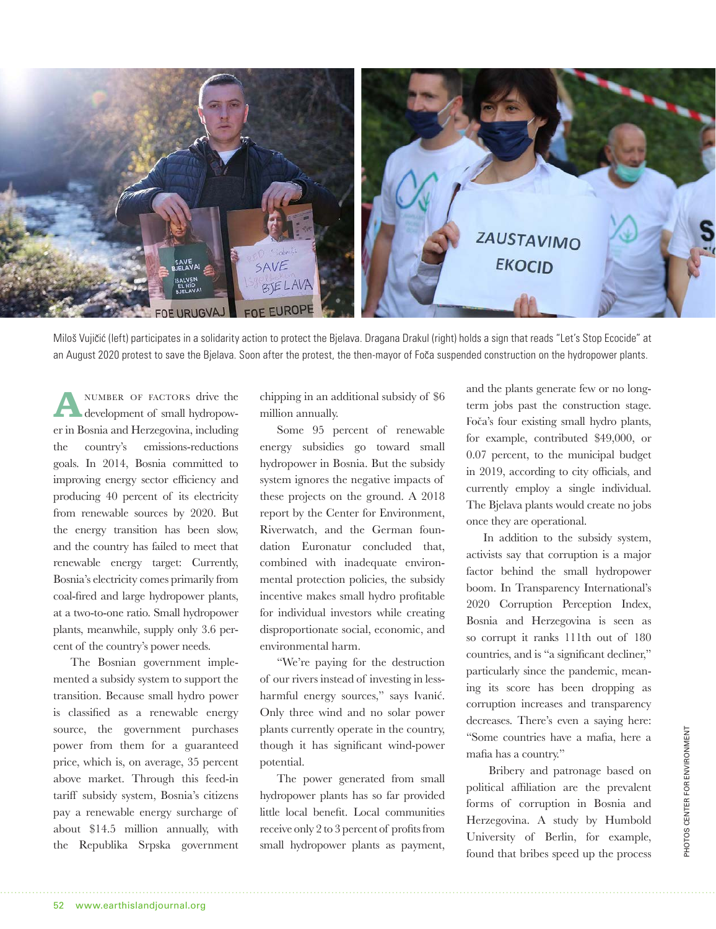

Miloš Vujičić (left) participates in a solidarity action to protect the Bjelava. Dragana Drakul (right) holds a sign that reads "Let's Stop Ecocide" at an August 2020 protest to save the Bjelava. Soon after the protest, the then-mayor of Foca suspended construction on the hydropower plants.

**A**NUMBER OF FACTORS drive the development of small hydropower in Bosnia and Herzegovina, including the country's emissions-reductions goals. In 2014, Bosnia committed to improving energy sector efficiency and producing 40 percent of its electricity from renewable sources by 2020. But the energy transition has been slow, and the country has failed to meet that renewable energy target: Currently, Bosnia's electricity comes primarily from coal-fired and large hydropower plants, at a two-to-one ratio. Small hydropower plants, meanwhile, supply only 3.6 percent of the country's power needs.

The Bosnian government implemented a subsidy system to support the transition. Because small hydro power is classified as a renewable energy source, the government purchases power from them for a guaranteed price, which is, on average, 35 percent above market. Through this feed-in tariff subsidy system, Bosnia's citizens pay a renewable energy surcharge of about \$14.5 million annually, with the Republika Srpska government

chipping in an additional subsidy of \$6 million annually.

Some 95 percent of renewable energy subsidies go toward small hydropower in Bosnia. But the subsidy system ignores the negative impacts of these projects on the ground. A 2018 report by the Center for Environment, Riverwatch, and the German foundation Euronatur concluded that, combined with inadequate environmental protection policies, the subsidy incentive makes small hydro profitable for individual investors while creating disproportionate social, economic, and environmental harm.

"We're paying for the destruction of our rivers instead of investing in lessharmful energy sources," says Ivanić. Only three wind and no solar power plants currently operate in the country, though it has significant wind-power potential.

The power generated from small hydropower plants has so far provided little local benefit. Local communities receive only 2 to 3 percent of profits from small hydropower plants as payment,

and the plants generate few or no longterm jobs past the construction stage. Foča's four existing small hydro plants, for example, contributed \$49,000, or 0.07 percent, to the municipal budget in 2019, according to city officials, and currently employ a single individual. The Bjelava plants would create no jobs once they are operational.

In addition to the subsidy system, activists say that corruption is a major factor behind the small hydropower boom. In Transparency International's 2020 Corruption Perception Index, Bosnia and Herzegovina is seen as so corrupt it ranks 111th out of 180 countries, and is "a significant decliner," particularly since the pandemic, meaning its score has been dropping as corruption increases and transparency decreases. There's even a saying here: "Some countries have a mafia, here a mafia has a country."

 Bribery and patronage based on political affiliation are the prevalent forms of corruption in Bosnia and Herzegovina. A study by Humbold University of Berlin, for example, found that bribes speed up the process